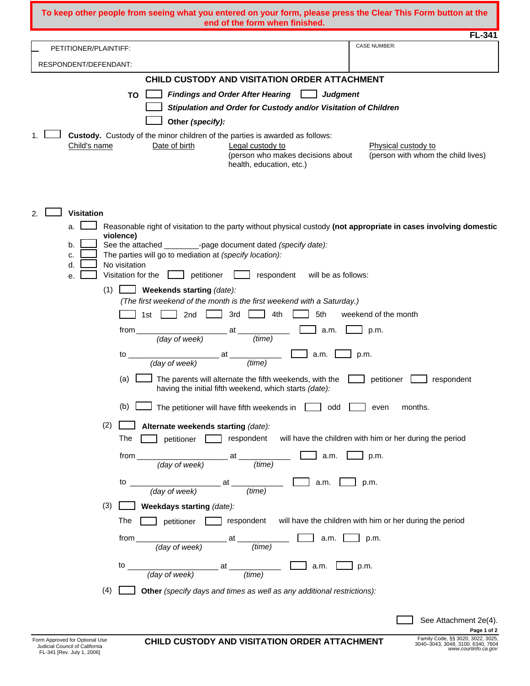| <b>FL-341</b><br><b>CASE NUMBER:</b><br>PETITIONER/PLAINTIFF:<br>RESPONDENT/DEFENDANT:<br>CHILD CUSTODY AND VISITATION ORDER ATTACHMENT<br>Findings and Order After Hearing $\Box$<br><b>TO</b><br><b>Judgment</b><br>Stipulation and Order for Custody and/or Visitation of Children                                                                                                                                                                                                                                                                   |
|---------------------------------------------------------------------------------------------------------------------------------------------------------------------------------------------------------------------------------------------------------------------------------------------------------------------------------------------------------------------------------------------------------------------------------------------------------------------------------------------------------------------------------------------------------|
|                                                                                                                                                                                                                                                                                                                                                                                                                                                                                                                                                         |
|                                                                                                                                                                                                                                                                                                                                                                                                                                                                                                                                                         |
|                                                                                                                                                                                                                                                                                                                                                                                                                                                                                                                                                         |
|                                                                                                                                                                                                                                                                                                                                                                                                                                                                                                                                                         |
|                                                                                                                                                                                                                                                                                                                                                                                                                                                                                                                                                         |
|                                                                                                                                                                                                                                                                                                                                                                                                                                                                                                                                                         |
| Other (specify):<br>Custody. Custody of the minor children of the parties is awarded as follows:                                                                                                                                                                                                                                                                                                                                                                                                                                                        |
| Child's name<br>Date of birth<br>Legal custody to<br>Physical custody to<br>(person who makes decisions about<br>(person with whom the child lives)<br>health, education, etc.)                                                                                                                                                                                                                                                                                                                                                                         |
| 2.<br><b>Visitation</b><br>Reasonable right of visitation to the party without physical custody (not appropriate in cases involving domestic<br>a.<br>violence)<br>See the attached _________-page document dated (specify date):<br>b.                                                                                                                                                                                                                                                                                                                 |
| The parties will go to mediation at (specify location):<br>c.                                                                                                                                                                                                                                                                                                                                                                                                                                                                                           |
| No visitation<br>d.<br>petitioner<br>respondent<br>Visitation for the<br>will be as follows:<br>е.                                                                                                                                                                                                                                                                                                                                                                                                                                                      |
| (1)<br>Weekends starting (date):                                                                                                                                                                                                                                                                                                                                                                                                                                                                                                                        |
| (The first weekend of the month is the first weekend with a Saturday.)                                                                                                                                                                                                                                                                                                                                                                                                                                                                                  |
| 3rd<br>4th<br>5th<br>2nd<br>weekend of the month<br>1st                                                                                                                                                                                                                                                                                                                                                                                                                                                                                                 |
| from<br>at<br>p.m.<br>a.m.<br>(day of week)<br>(time)                                                                                                                                                                                                                                                                                                                                                                                                                                                                                                   |
| at<br>a.m.<br>p.m.<br>to<br>(day of week)<br>(time)                                                                                                                                                                                                                                                                                                                                                                                                                                                                                                     |
| The parents will alternate the fifth weekends, with the<br>(a)<br>petitioner<br>respondent<br>having the initial fifth weekend, which starts (date):                                                                                                                                                                                                                                                                                                                                                                                                    |
| The petitioner will have fifth weekends in $\Box$<br>(b)<br>odd<br>even<br>months.                                                                                                                                                                                                                                                                                                                                                                                                                                                                      |
| (2)<br>Alternate weekends starting (date):<br>respondent will have the children with him or her during the period<br>The<br>petitioner L                                                                                                                                                                                                                                                                                                                                                                                                                |
| $\begin{array}{c}\n  \text{from} \quad \text{if} \quad \text{if} \quad \text{if} \quad \text{if} \quad \text{if} \quad \text{if} \quad \text{if} \quad \text{if} \quad \text{if} \quad \text{if} \quad \text{if} \quad \text{if} \quad \text{if} \quad \text{if} \quad \text{if} \quad \text{if} \quad \text{if} \quad \text{if} \quad \text{if} \quad \text{if} \quad \text{if} \quad \text{if} \quad \text{if} \quad \text{if} \quad \text{if} \quad \text{if} \quad \text{if} \quad \text{if} \quad \text{if} \quad \$<br>$\Box$ a.m. $\Box$<br>p.m. |
| to $\frac{1}{(\text{day of week})}$ at $\frac{1}{(\text{time})}$ a.m. $\boxed{\phantom{1}}$ p.m.                                                                                                                                                                                                                                                                                                                                                                                                                                                        |
| (3)<br><b>Neekdays starting</b> (date):                                                                                                                                                                                                                                                                                                                                                                                                                                                                                                                 |
| petitioner respondent will have the children with him or her during the period<br>The                                                                                                                                                                                                                                                                                                                                                                                                                                                                   |
| $\frac{1}{(day \text{ of week})}$ at $\frac{1}{(time)}$<br>a.m.<br>from $\sqrt{2}$<br>p.m.                                                                                                                                                                                                                                                                                                                                                                                                                                                              |
| to $\frac{1}{(day \text{ of week})}$ at $\frac{1}{(time)}$ a.m. $\boxed{ }$ p.m.                                                                                                                                                                                                                                                                                                                                                                                                                                                                        |
| (4)<br>Other (specify days and times as well as any additional restrictions):                                                                                                                                                                                                                                                                                                                                                                                                                                                                           |
| See Attachment 2e(4).<br>Page 1 of 2                                                                                                                                                                                                                                                                                                                                                                                                                                                                                                                    |

*www.[courtinfo.ca.gov](http://cou~tinto.ca.gov)*